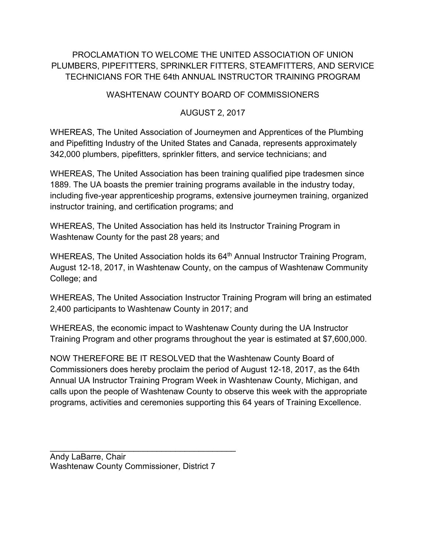## PROCLAMATION TO WELCOME THE UNITED ASSOCIATION OF UNION PLUMBERS, PIPEFITTERS, SPRINKLER FITTERS, STEAMFITTERS, AND SERVICE TECHNICIANS FOR THE 64th ANNUAL INSTRUCTOR TRAINING PROGRAM

## WASHTENAW COUNTY BOARD OF COMMISSIONERS

## AUGUST 2, 2017

WHEREAS, The United Association of Journeymen and Apprentices of the Plumbing and Pipefitting Industry of the United States and Canada, represents approximately 342,000 plumbers, pipefitters, sprinkler fitters, and service technicians; and

WHEREAS, The United Association has been training qualified pipe tradesmen since 1889. The UA boasts the premier training programs available in the industry today, including five-year apprenticeship programs, extensive journeymen training, organized instructor training, and certification programs; and

WHEREAS, The United Association has held its Instructor Training Program in Washtenaw County for the past 28 years; and

WHEREAS, The United Association holds its 64<sup>th</sup> Annual Instructor Training Program, August 12-18, 2017, in Washtenaw County, on the campus of Washtenaw Community College; and

WHEREAS, The United Association Instructor Training Program will bring an estimated 2,400 participants to Washtenaw County in 2017; and

WHEREAS, the economic impact to Washtenaw County during the UA Instructor Training Program and other programs throughout the year is estimated at \$7,600,000.

NOW THEREFORE BE IT RESOLVED that the Washtenaw County Board of Commissioners does hereby proclaim the period of August 12-18, 2017, as the 64th Annual UA Instructor Training Program Week in Washtenaw County, Michigan, and calls upon the people of Washtenaw County to observe this week with the appropriate programs, activities and ceremonies supporting this 64 years of Training Excellence.

Andy LaBarre, Chair Washtenaw County Commissioner, District 7

 $\mathcal{L}_\text{max}$  , and the set of the set of the set of the set of the set of the set of the set of the set of the set of the set of the set of the set of the set of the set of the set of the set of the set of the set of the